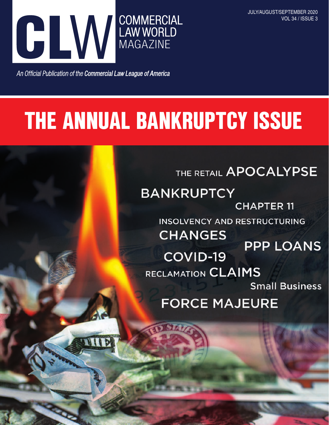

An Official Publication of the Commercial Law League of America

### THE ANNUAL BANKRUPTCY ISSUE

THE RETAIL APOCALYPSE

**BANKRUPTCY CHAPTER 11 INSOLVENCY AND RESTRUCTURING CHANGES PPP LOANS** COVID-19 RECLAMATION CLAIMS **Small Business FORCE MAJEURE**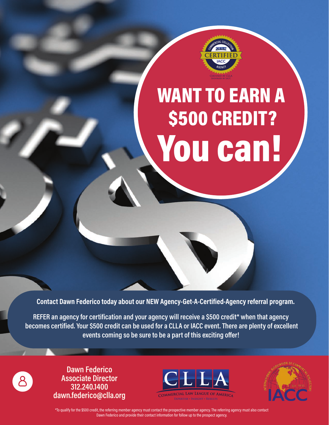

# WANT TO EARN A \$500 CREDIT? You can!

**Contact Dawn Federico today about our NEW Agency-Get-A-Certified-Agency referral program.**

**REFER an agency for certification and your agency will receive a \$500 credit\* when that agency becomes certified. Your \$500 credit can be used for a CLLA or IACC event. There are plenty of excellent events coming so be sure to be a part of this exciting offer!**

**Dawn Federico Associate Director 312.240.1400 dawn.federico@clla.org**





\*To qualify for the \$500 credit, the referring member agency must contact the prospective member agency. The referring agency must also contact Dawn Federico and provide their contact information for follow up to the prospect agency.